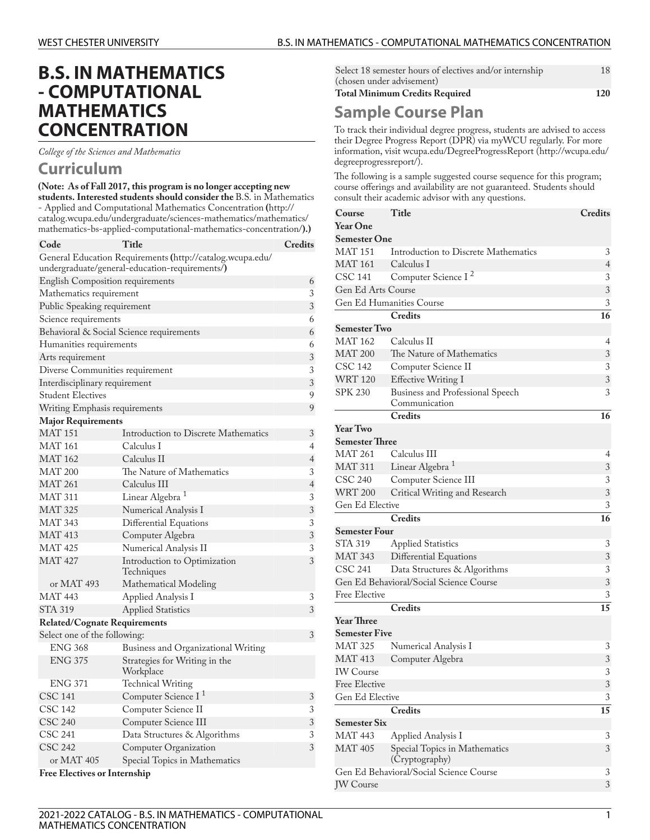## **B.S. IN MATHEMATICS - COMPUTATIONAL MATHEMATICS CONCENTRATION**

*College of the Sciences and Mathematics*

## **Curriculum**

**(Note: As of Fall 2017, this program is no longer accepting new students. Interested students should consider the** B.S. in [Mathematics](http://catalog.wcupa.edu/undergraduate/sciences-mathematics/mathematics/mathematics-bs-applied-computational-mathematics-concentration/) - Applied and [Computational](http://catalog.wcupa.edu/undergraduate/sciences-mathematics/mathematics/mathematics-bs-applied-computational-mathematics-concentration/) Mathematics Concentration **(**[http://](http://catalog.wcupa.edu/undergraduate/sciences-mathematics/mathematics/mathematics-bs-applied-computational-mathematics-concentration/) [catalog.wcupa.edu/undergraduate/sciences-mathematics/mathematics/](http://catalog.wcupa.edu/undergraduate/sciences-mathematics/mathematics/mathematics-bs-applied-computational-mathematics-concentration/) [mathematics-bs-applied-computational-mathematics-concentration/](http://catalog.wcupa.edu/undergraduate/sciences-mathematics/mathematics/mathematics-bs-applied-computational-mathematics-concentration/)**).)**

| Code                                     | Title                                                                                                       | Credits        |
|------------------------------------------|-------------------------------------------------------------------------------------------------------------|----------------|
|                                          | General Education Requirements (http://catalog.wcupa.edu/<br>undergraduate/general-education-requirements/) |                |
| English Composition requirements         |                                                                                                             | 6              |
| Mathematics requirement                  |                                                                                                             |                |
| Public Speaking requirement              |                                                                                                             | $\overline{3}$ |
| Science requirements                     |                                                                                                             | 6              |
| Behavioral & Social Science requirements |                                                                                                             |                |
| Humanities requirements                  |                                                                                                             | 6              |
| Arts requirement                         |                                                                                                             | 3              |
| Diverse Communities requirement          |                                                                                                             |                |
| Interdisciplinary requirement            |                                                                                                             | 3              |
| <b>Student Electives</b>                 |                                                                                                             | 9              |
| Writing Emphasis requirements            |                                                                                                             | 9              |
| <b>Major Requirements</b>                |                                                                                                             |                |
| <b>MAT 151</b>                           | Introduction to Discrete Mathematics                                                                        | 3              |
| MAT 161                                  | Calculus I                                                                                                  | 4              |
| <b>MAT 162</b>                           | Calculus II                                                                                                 | $\overline{4}$ |
| MAT 200                                  | The Nature of Mathematics                                                                                   | 3              |
| <b>MAT 261</b>                           | Calculus III                                                                                                | $\overline{4}$ |
| MAT 311                                  | Linear Algebra <sup>1</sup>                                                                                 | 3              |
| <b>MAT 325</b>                           | Numerical Analysis I                                                                                        | $\mathfrak{Z}$ |
| MAT 343                                  | Differential Equations                                                                                      | 3              |
| <b>MAT 413</b>                           | Computer Algebra                                                                                            | 3              |
| MAT 425                                  | Numerical Analysis II                                                                                       | 3              |
| <b>MAT 427</b>                           | Introduction to Optimization<br>Techniques                                                                  | 3              |
| or MAT 493                               | Mathematical Modeling                                                                                       |                |
| MAT 443                                  | Applied Analysis I                                                                                          | 3              |
| <b>STA 319</b>                           | <b>Applied Statistics</b>                                                                                   | 3              |
| <b>Related/Cognate Requirements</b>      |                                                                                                             |                |
| Select one of the following:             |                                                                                                             | 3              |
| <b>ENG 368</b>                           | Business and Organizational Writing                                                                         |                |
| <b>ENG 375</b>                           | Strategies for Writing in the<br>Workplace                                                                  |                |
| <b>ENG 371</b>                           | <b>Technical Writing</b>                                                                                    |                |
| CSC 141                                  | Computer Science I <sup>1</sup>                                                                             | $\sqrt{3}$     |
| CSC 142                                  | Computer Science II                                                                                         | 3              |
| <b>CSC 240</b>                           | Computer Science III                                                                                        | $\mathfrak{Z}$ |
| CSC 241                                  | Data Structures & Algorithms                                                                                | 3              |
| <b>CSC 242</b>                           | Computer Organization                                                                                       | 3              |
| or MAT 405                               | Special Topics in Mathematics                                                                               |                |
| <b>Free Electives or Internship</b>      |                                                                                                             |                |

| Select 18 semester hours of electives and/or internship<br>(chosen under advisement) |  |  |
|--------------------------------------------------------------------------------------|--|--|
| <b>Total Minimum Credits Required</b>                                                |  |  |
|                                                                                      |  |  |

## **Sample Course Plan**

To track their individual degree progress, students are advised to access their Degree Progress Report (DPR) via myWCU regularly. For more information, visit [wcupa.edu/DegreeProgressReport \(http://wcupa.edu/](http://wcupa.edu/degreeprogressreport/) [degreeprogressreport/](http://wcupa.edu/degreeprogressreport/)).

The following is a sample suggested course sequence for this program; course offerings and availability are not guaranteed. Students should consult their academic advisor with any questions.

| Course                                | Title                                               | <b>Credits</b> |
|---------------------------------------|-----------------------------------------------------|----------------|
| <b>Year One</b>                       |                                                     |                |
| <b>Semester One</b>                   |                                                     |                |
| <b>MAT 151</b>                        | Introduction to Discrete Mathematics                | 3              |
| <b>MAT 161</b>                        | Calculus I                                          | $\overline{4}$ |
| <b>CSC 141</b>                        | Computer Science I <sup>2</sup>                     | 3              |
| Gen Ed Arts Course                    |                                                     | 3              |
|                                       | Gen Ed Humanities Course                            | 3              |
|                                       | <b>Credits</b>                                      | 16             |
| <b>Semester Two</b>                   |                                                     |                |
| <b>MAT 162</b>                        | Calculus II                                         | 4              |
| <b>MAT 200</b>                        | The Nature of Mathematics                           | 3              |
| CSC 142                               | Computer Science II                                 | 3              |
| <b>WRT 120</b>                        | <b>Effective Writing I</b>                          | 3              |
| <b>SPK 230</b>                        | Business and Professional Speech<br>Communication   | 3              |
|                                       | <b>Credits</b>                                      | 16             |
| <b>Year Two</b>                       |                                                     |                |
| <b>Semester Three</b>                 |                                                     |                |
| <b>MAT 261</b>                        | Calculus III                                        | 4              |
| <b>MAT 311</b>                        | Linear Algebra <sup>1</sup>                         | 3              |
| <b>CSC 240</b>                        | Computer Science III                                | 3              |
| <b>WRT 200</b>                        | Critical Writing and Research                       | 3              |
| Gen Ed Elective                       |                                                     | 3              |
|                                       | Credits                                             | 16             |
| <b>Semester Four</b>                  |                                                     |                |
|                                       |                                                     |                |
|                                       |                                                     |                |
| STA 319                               | <b>Applied Statistics</b>                           | 3              |
| <b>MAT 343</b>                        | Differential Equations                              | 3              |
| CSC 241                               | Data Structures & Algorithms                        | 3              |
|                                       | Gen Ed Behavioral/Social Science Course             | 3              |
| <b>Free Elective</b>                  |                                                     | 3              |
|                                       | <b>Credits</b>                                      | 15             |
| <b>Year Three</b>                     |                                                     |                |
| <b>Semester Five</b>                  |                                                     |                |
| <b>MAT 325</b>                        | Numerical Analysis I                                | 3              |
| <b>MAT 413</b>                        | Computer Algebra                                    | $\mathfrak{Z}$ |
| <b>IW</b> Course                      |                                                     | 3              |
| Free Elective<br>Gen Ed Elective      |                                                     | 3<br>3         |
|                                       | Credits                                             | 15             |
|                                       |                                                     |                |
| <b>Semester Six</b><br><b>MAT 443</b> |                                                     | 3              |
| <b>MAT 405</b>                        | Applied Analysis I<br>Special Topics in Mathematics | 3              |
|                                       | (Cryptography)                                      |                |
| <b>JW</b> Course                      | Gen Ed Behavioral/Social Science Course             | 3<br>3         |